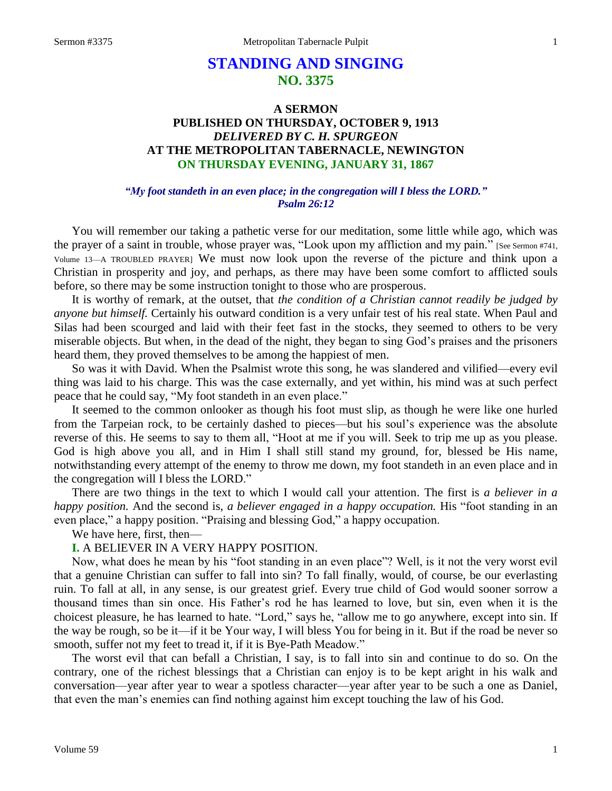# **STANDING AND SINGING NO. 3375**

# **A SERMON PUBLISHED ON THURSDAY, OCTOBER 9, 1913** *DELIVERED BY C. H. SPURGEON* **AT THE METROPOLITAN TABERNACLE, NEWINGTON ON THURSDAY EVENING, JANUARY 31, 1867**

#### *"My foot standeth in an even place; in the congregation will I bless the LORD." Psalm 26:12*

You will remember our taking a pathetic verse for our meditation, some little while ago, which was the prayer of a saint in trouble, whose prayer was, "Look upon my affliction and my pain." [See Sermon #741, Volume 13—A TROUBLED PRAYER] We must now look upon the reverse of the picture and think upon a Christian in prosperity and joy, and perhaps, as there may have been some comfort to afflicted souls before, so there may be some instruction tonight to those who are prosperous.

It is worthy of remark, at the outset, that *the condition of a Christian cannot readily be judged by anyone but himself.* Certainly his outward condition is a very unfair test of his real state. When Paul and Silas had been scourged and laid with their feet fast in the stocks, they seemed to others to be very miserable objects. But when, in the dead of the night, they began to sing God's praises and the prisoners heard them, they proved themselves to be among the happiest of men.

So was it with David. When the Psalmist wrote this song, he was slandered and vilified—every evil thing was laid to his charge. This was the case externally, and yet within, his mind was at such perfect peace that he could say, "My foot standeth in an even place."

It seemed to the common onlooker as though his foot must slip, as though he were like one hurled from the Tarpeian rock, to be certainly dashed to pieces—but his soul's experience was the absolute reverse of this. He seems to say to them all, "Hoot at me if you will. Seek to trip me up as you please. God is high above you all, and in Him I shall still stand my ground, for, blessed be His name, notwithstanding every attempt of the enemy to throw me down, my foot standeth in an even place and in the congregation will I bless the LORD."

There are two things in the text to which I would call your attention. The first is *a believer in a happy position.* And the second is, *a believer engaged in a happy occupation.* His "foot standing in an even place," a happy position. "Praising and blessing God," a happy occupation.

We have here, first, then—

#### **I.** A BELIEVER IN A VERY HAPPY POSITION.

Now, what does he mean by his "foot standing in an even place"? Well, is it not the very worst evil that a genuine Christian can suffer to fall into sin? To fall finally, would, of course, be our everlasting ruin. To fall at all, in any sense, is our greatest grief. Every true child of God would sooner sorrow a thousand times than sin once. His Father's rod he has learned to love, but sin, even when it is the choicest pleasure, he has learned to hate. "Lord," says he, "allow me to go anywhere, except into sin. If the way be rough, so be it—if it be Your way, I will bless You for being in it. But if the road be never so smooth, suffer not my feet to tread it, if it is Bye-Path Meadow."

The worst evil that can befall a Christian, I say, is to fall into sin and continue to do so. On the contrary, one of the richest blessings that a Christian can enjoy is to be kept aright in his walk and conversation—year after year to wear a spotless character—year after year to be such a one as Daniel, that even the man's enemies can find nothing against him except touching the law of his God.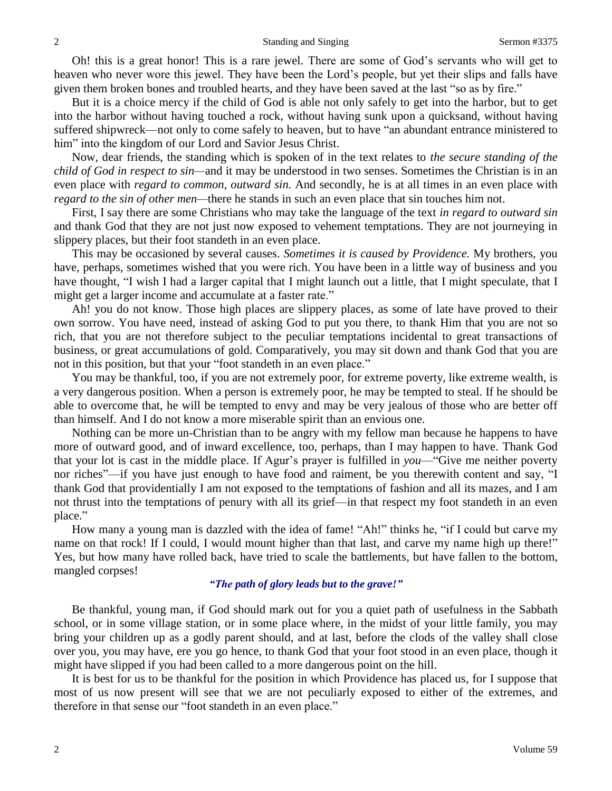Oh! this is a great honor! This is a rare jewel. There are some of God's servants who will get to heaven who never wore this jewel. They have been the Lord's people, but yet their slips and falls have given them broken bones and troubled hearts, and they have been saved at the last "so as by fire."

But it is a choice mercy if the child of God is able not only safely to get into the harbor, but to get into the harbor without having touched a rock, without having sunk upon a quicksand, without having suffered shipwreck—not only to come safely to heaven, but to have "an abundant entrance ministered to him" into the kingdom of our Lord and Savior Jesus Christ.

Now, dear friends, the standing which is spoken of in the text relates to *the secure standing of the child of God in respect to sin—*and it may be understood in two senses. Sometimes the Christian is in an even place with *regard to common, outward sin.* And secondly, he is at all times in an even place with *regard to the sin of other men—*there he stands in such an even place that sin touches him not.

First, I say there are some Christians who may take the language of the text *in regard to outward sin*  and thank God that they are not just now exposed to vehement temptations. They are not journeying in slippery places, but their foot standeth in an even place.

This may be occasioned by several causes. *Sometimes it is caused by Providence.* My brothers, you have, perhaps, sometimes wished that you were rich. You have been in a little way of business and you have thought, "I wish I had a larger capital that I might launch out a little, that I might speculate, that I might get a larger income and accumulate at a faster rate."

Ah! you do not know. Those high places are slippery places, as some of late have proved to their own sorrow. You have need, instead of asking God to put you there, to thank Him that you are not so rich, that you are not therefore subject to the peculiar temptations incidental to great transactions of business, or great accumulations of gold. Comparatively, you may sit down and thank God that you are not in this position, but that your "foot standeth in an even place."

You may be thankful, too, if you are not extremely poor, for extreme poverty, like extreme wealth, is a very dangerous position. When a person is extremely poor, he may be tempted to steal. If he should be able to overcome that, he will be tempted to envy and may be very jealous of those who are better off than himself. And I do not know a more miserable spirit than an envious one.

Nothing can be more un-Christian than to be angry with my fellow man because he happens to have more of outward good, and of inward excellence, too, perhaps, than I may happen to have. Thank God that your lot is cast in the middle place. If Agur's prayer is fulfilled in *you*—"Give me neither poverty nor riches"—if you have just enough to have food and raiment, be you therewith content and say, "I thank God that providentially I am not exposed to the temptations of fashion and all its mazes, and I am not thrust into the temptations of penury with all its grief—in that respect my foot standeth in an even place."

How many a young man is dazzled with the idea of fame! "Ah!" thinks he, "if I could but carve my name on that rock! If I could, I would mount higher than that last, and carve my name high up there!" Yes, but how many have rolled back, have tried to scale the battlements, but have fallen to the bottom, mangled corpses!

# *"The path of glory leads but to the grave!"*

Be thankful, young man, if God should mark out for you a quiet path of usefulness in the Sabbath school, or in some village station, or in some place where, in the midst of your little family, you may bring your children up as a godly parent should, and at last, before the clods of the valley shall close over you, you may have, ere you go hence, to thank God that your foot stood in an even place, though it might have slipped if you had been called to a more dangerous point on the hill.

It is best for us to be thankful for the position in which Providence has placed us, for I suppose that most of us now present will see that we are not peculiarly exposed to either of the extremes, and therefore in that sense our "foot standeth in an even place."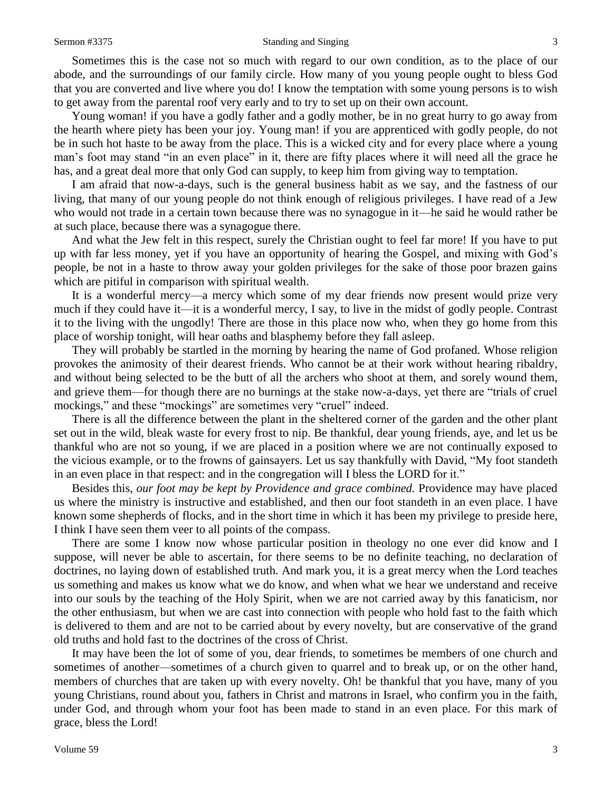#### Sermon #3375 Standing and Singing 3

Sometimes this is the case not so much with regard to our own condition, as to the place of our abode, and the surroundings of our family circle. How many of you young people ought to bless God that you are converted and live where you do! I know the temptation with some young persons is to wish to get away from the parental roof very early and to try to set up on their own account.

Young woman! if you have a godly father and a godly mother, be in no great hurry to go away from the hearth where piety has been your joy. Young man! if you are apprenticed with godly people, do not be in such hot haste to be away from the place. This is a wicked city and for every place where a young man's foot may stand "in an even place" in it, there are fifty places where it will need all the grace he has, and a great deal more that only God can supply, to keep him from giving way to temptation.

I am afraid that now-a-days, such is the general business habit as we say, and the fastness of our living, that many of our young people do not think enough of religious privileges. I have read of a Jew who would not trade in a certain town because there was no synagogue in it—he said he would rather be at such place, because there was a synagogue there.

And what the Jew felt in this respect, surely the Christian ought to feel far more! If you have to put up with far less money, yet if you have an opportunity of hearing the Gospel, and mixing with God's people, be not in a haste to throw away your golden privileges for the sake of those poor brazen gains which are pitiful in comparison with spiritual wealth.

It is a wonderful mercy—a mercy which some of my dear friends now present would prize very much if they could have it—it is a wonderful mercy, I say, to live in the midst of godly people. Contrast it to the living with the ungodly! There are those in this place now who, when they go home from this place of worship tonight*,* will hear oaths and blasphemy before they fall asleep.

They will probably be startled in the morning by hearing the name of God profaned. Whose religion provokes the animosity of their dearest friends. Who cannot be at their work without hearing ribaldry, and without being selected to be the butt of all the archers who shoot at them, and sorely wound them, and grieve them—for though there are no burnings at the stake now-a-days, yet there are "trials of cruel mockings," and these "mockings" are sometimes very "cruel" indeed.

There is all the difference between the plant in the sheltered corner of the garden and the other plant set out in the wild, bleak waste for every frost to nip. Be thankful, dear young friends, aye, and let us be thankful who are not so young, if we are placed in a position where we are not continually exposed to the vicious example, or to the frowns of gainsayers. Let us say thankfully with David, "My foot standeth in an even place in that respect: and in the congregation will I bless the LORD for it."

Besides this, *our foot may be kept by Providence and grace combined.* Providence may have placed us where the ministry is instructive and established, and then our foot standeth in an even place. I have known some shepherds of flocks, and in the short time in which it has been my privilege to preside here, I think I have seen them veer to all points of the compass.

There are some I know now whose particular position in theology no one ever did know and I suppose, will never be able to ascertain, for there seems to be no definite teaching, no declaration of doctrines, no laying down of established truth. And mark you, it is a great mercy when the Lord teaches us something and makes us know what we do know, and when what we hear we understand and receive into our souls by the teaching of the Holy Spirit, when we are not carried away by this fanaticism, nor the other enthusiasm, but when we are cast into connection with people who hold fast to the faith which is delivered to them and are not to be carried about by every novelty, but are conservative of the grand old truths and hold fast to the doctrines of the cross of Christ.

It may have been the lot of some of you, dear friends, to sometimes be members of one church and sometimes of another—sometimes of a church given to quarrel and to break up, or on the other hand, members of churches that are taken up with every novelty. Oh! be thankful that you have, many of you young Christians, round about you, fathers in Christ and matrons in Israel, who confirm you in the faith, under God, and through whom your foot has been made to stand in an even place. For this mark of grace, bless the Lord!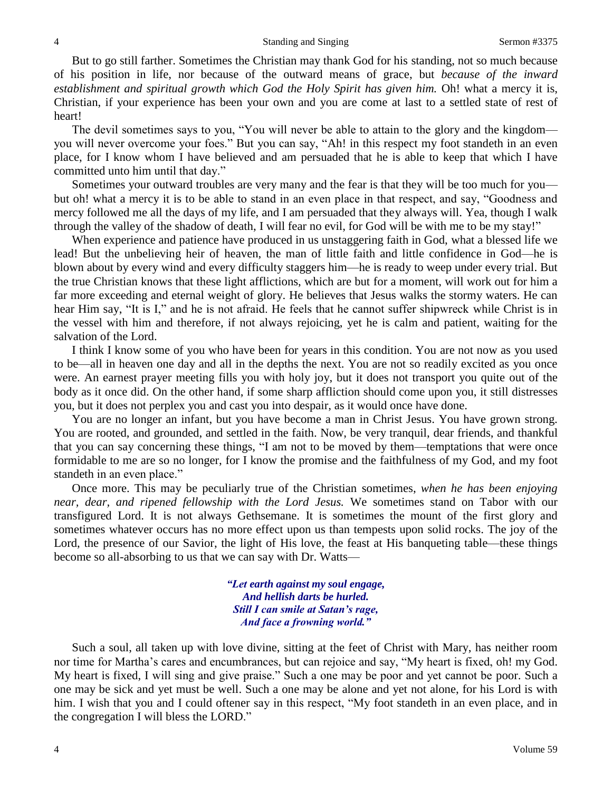But to go still farther. Sometimes the Christian may thank God for his standing, not so much because of his position in life, nor because of the outward means of grace, but *because of the inward establishment and spiritual growth which God the Holy Spirit has given him.* Oh! what a mercy it is, Christian, if your experience has been your own and you are come at last to a settled state of rest of heart!

The devil sometimes says to you, "You will never be able to attain to the glory and the kingdom you will never overcome your foes." But you can say, "Ah! in this respect my foot standeth in an even place, for I know whom I have believed and am persuaded that he is able to keep that which I have committed unto him until that day."

Sometimes your outward troubles are very many and the fear is that they will be too much for you but oh! what a mercy it is to be able to stand in an even place in that respect, and say, "Goodness and mercy followed me all the days of my life, and I am persuaded that they always will. Yea, though I walk through the valley of the shadow of death, I will fear no evil, for God will be with me to be my stay!"

When experience and patience have produced in us unstaggering faith in God, what a blessed life we lead! But the unbelieving heir of heaven, the man of little faith and little confidence in God—he is blown about by every wind and every difficulty staggers him—he is ready to weep under every trial. But the true Christian knows that these light afflictions, which are but for a moment, will work out for him a far more exceeding and eternal weight of glory. He believes that Jesus walks the stormy waters. He can hear Him say, "It is I," and he is not afraid. He feels that he cannot suffer shipwreck while Christ is in the vessel with him and therefore, if not always rejoicing, yet he is calm and patient, waiting for the salvation of the Lord.

I think I know some of you who have been for years in this condition. You are not now as you used to be—all in heaven one day and all in the depths the next. You are not so readily excited as you once were. An earnest prayer meeting fills you with holy joy, but it does not transport you quite out of the body as it once did. On the other hand, if some sharp affliction should come upon you, it still distresses you, but it does not perplex you and cast you into despair, as it would once have done.

You are no longer an infant, but you have become a man in Christ Jesus. You have grown strong. You are rooted, and grounded, and settled in the faith. Now, be very tranquil, dear friends, and thankful that you can say concerning these things, "I am not to be moved by them—temptations that were once formidable to me are so no longer, for I know the promise and the faithfulness of my God, and my foot standeth in an even place."

Once more. This may be peculiarly true of the Christian sometimes, *when he has been enjoying near, dear, and ripened fellowship with the Lord Jesus.* We sometimes stand on Tabor with our transfigured Lord. It is not always Gethsemane. It is sometimes the mount of the first glory and sometimes whatever occurs has no more effect upon us than tempests upon solid rocks. The joy of the Lord, the presence of our Savior, the light of His love, the feast at His banqueting table—these things become so all-absorbing to us that we can say with Dr. Watts—

> *"Let earth against my soul engage, And hellish darts be hurled. Still I can smile at Satan's rage, And face a frowning world."*

Such a soul, all taken up with love divine, sitting at the feet of Christ with Mary, has neither room nor time for Martha's cares and encumbrances, but can rejoice and say, "My heart is fixed, oh! my God. My heart is fixed, I will sing and give praise." Such a one may be poor and yet cannot be poor. Such a one may be sick and yet must be well. Such a one may be alone and yet not alone, for his Lord is with him. I wish that you and I could oftener say in this respect, "My foot standeth in an even place, and in the congregation I will bless the LORD."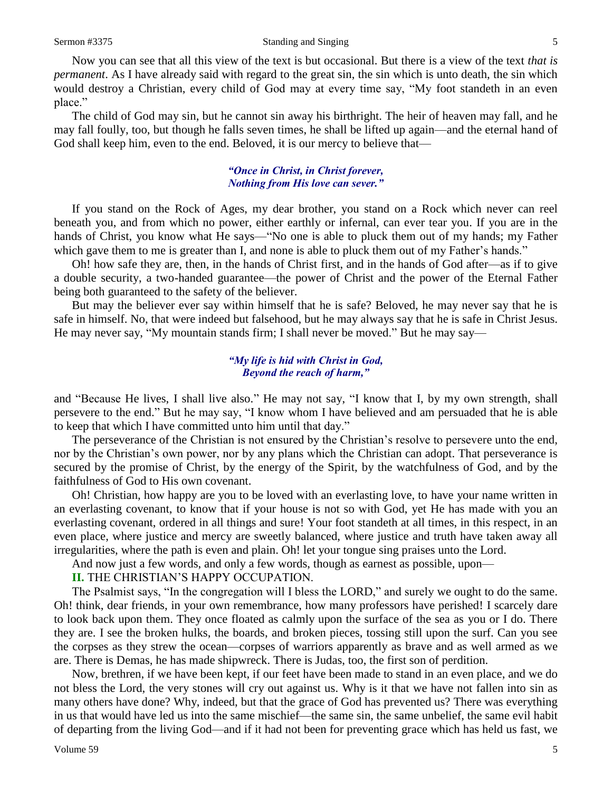Now you can see that all this view of the text is but occasional. But there is a view of the text *that is permanent*. As I have already said with regard to the great sin, the sin which is unto death, the sin which would destroy a Christian, every child of God may at every time say, "My foot standeth in an even place."

The child of God may sin, but he cannot sin away his birthright. The heir of heaven may fall, and he may fall foully, too, but though he falls seven times, he shall be lifted up again—and the eternal hand of God shall keep him, even to the end. Beloved, it is our mercy to believe that—

## *"Once in Christ, in Christ forever, Nothing from His love can sever."*

If you stand on the Rock of Ages, my dear brother, you stand on a Rock which never can reel beneath you, and from which no power, either earthly or infernal, can ever tear you. If you are in the hands of Christ, you know what He says—"No one is able to pluck them out of my hands; my Father which gave them to me is greater than I, and none is able to pluck them out of my Father's hands."

Oh! how safe they are, then, in the hands of Christ first, and in the hands of God after—as if to give a double security, a two-handed guarantee—the power of Christ and the power of the Eternal Father being both guaranteed to the safety of the believer.

But may the believer ever say within himself that he is safe? Beloved, he may never say that he is safe in himself. No, that were indeed but falsehood, but he may always say that he is safe in Christ Jesus. He may never say, "My mountain stands firm; I shall never be moved." But he may say—

#### *"My life is hid with Christ in God, Beyond the reach of harm,"*

and "Because He lives, I shall live also." He may not say, "I know that I, by my own strength, shall persevere to the end." But he may say, "I know whom I have believed and am persuaded that he is able to keep that which I have committed unto him until that day."

The perseverance of the Christian is not ensured by the Christian's resolve to persevere unto the end, nor by the Christian's own power, nor by any plans which the Christian can adopt. That perseverance is secured by the promise of Christ, by the energy of the Spirit, by the watchfulness of God, and by the faithfulness of God to His own covenant.

Oh! Christian, how happy are you to be loved with an everlasting love, to have your name written in an everlasting covenant, to know that if your house is not so with God, yet He has made with you an everlasting covenant, ordered in all things and sure! Your foot standeth at all times, in this respect, in an even place, where justice and mercy are sweetly balanced, where justice and truth have taken away all irregularities, where the path is even and plain. Oh! let your tongue sing praises unto the Lord.

And now just a few words, and only a few words, though as earnest as possible, upon—

**II.** THE CHRISTIAN'S HAPPY OCCUPATION.

The Psalmist says, "In the congregation will I bless the LORD," and surely we ought to do the same. Oh! think, dear friends, in your own remembrance, how many professors have perished! I scarcely dare to look back upon them. They once floated as calmly upon the surface of the sea as you or I do. There they are. I see the broken hulks, the boards, and broken pieces, tossing still upon the surf. Can you see the corpses as they strew the ocean—corpses of warriors apparently as brave and as well armed as we are. There is Demas, he has made shipwreck. There is Judas, too, the first son of perdition.

Now, brethren, if we have been kept, if our feet have been made to stand in an even place, and we do not bless the Lord, the very stones will cry out against us. Why is it that we have not fallen into sin as many others have done? Why, indeed, but that the grace of God has prevented us? There was everything in us that would have led us into the same mischief—the same sin, the same unbelief, the same evil habit of departing from the living God—and if it had not been for preventing grace which has held us fast, we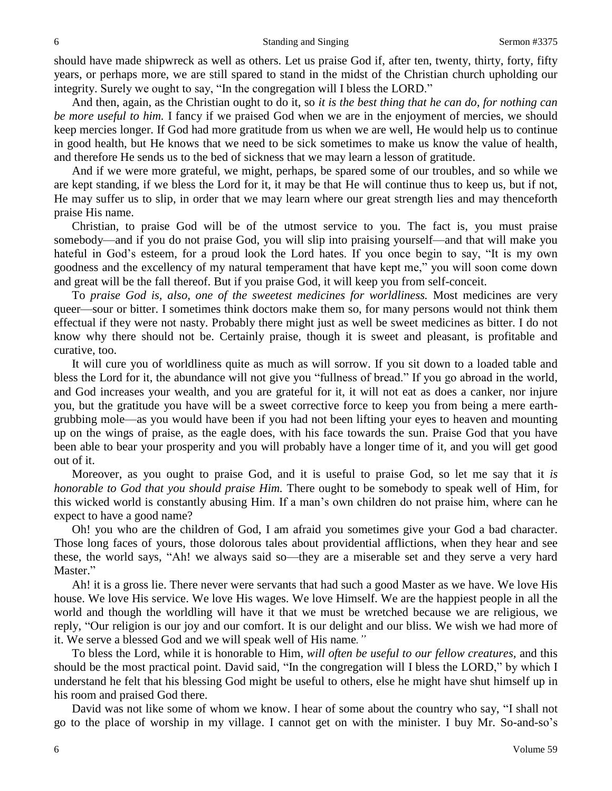should have made shipwreck as well as others. Let us praise God if, after ten, twenty, thirty, forty, fifty years, or perhaps more, we are still spared to stand in the midst of the Christian church upholding our integrity. Surely we ought to say, "In the congregation will I bless the LORD."

And then, again, as the Christian ought to do it, so *it is the best thing that he can do, for nothing can be more useful to him.* I fancy if we praised God when we are in the enjoyment of mercies, we should keep mercies longer. If God had more gratitude from us when we are well, He would help us to continue in good health, but He knows that we need to be sick sometimes to make us know the value of health, and therefore He sends us to the bed of sickness that we may learn a lesson of gratitude.

And if we were more grateful, we might, perhaps, be spared some of our troubles, and so while we are kept standing, if we bless the Lord for it, it may be that He will continue thus to keep us, but if not, He may suffer us to slip, in order that we may learn where our great strength lies and may thenceforth praise His name.

Christian, to praise God will be of the utmost service to you. The fact is, you must praise somebody—and if you do not praise God, you will slip into praising yourself—and that will make you hateful in God's esteem, for a proud look the Lord hates. If you once begin to say, "It is my own goodness and the excellency of my natural temperament that have kept me," you will soon come down and great will be the fall thereof. But if you praise God, it will keep you from self-conceit.

To *praise God is, also, one of the sweetest medicines for worldliness.* Most medicines are very queer—sour or bitter. I sometimes think doctors make them so, for many persons would not think them effectual if they were not nasty. Probably there might just as well be sweet medicines as bitter. I do not know why there should not be. Certainly praise, though it is sweet and pleasant, is profitable and curative, too.

It will cure you of worldliness quite as much as will sorrow. If you sit down to a loaded table and bless the Lord for it, the abundance will not give you "fullness of bread." If you go abroad in the world, and God increases your wealth, and you are grateful for it, it will not eat as does a canker, nor injure you, but the gratitude you have will be a sweet corrective force to keep you from being a mere earthgrubbing mole—as you would have been if you had not been lifting your eyes to heaven and mounting up on the wings of praise, as the eagle does, with his face towards the sun. Praise God that you have been able to bear your prosperity and you will probably have a longer time of it, and you will get good out of it.

Moreover, as you ought to praise God, and it is useful to praise God, so let me say that it *is honorable to God that you should praise Him.* There ought to be somebody to speak well of Him, for this wicked world is constantly abusing Him. If a man's own children do not praise him, where can he expect to have a good name?

Oh! you who are the children of God, I am afraid you sometimes give your God a bad character. Those long faces of yours, those dolorous tales about providential afflictions, when they hear and see these, the world says, "Ah! we always said so—they are a miserable set and they serve a very hard Master."

Ah! it is a gross lie. There never were servants that had such a good Master as we have. We love His house. We love His service. We love His wages. We love Himself. We are the happiest people in all the world and though the worldling will have it that we must be wretched because we are religious, we reply, "Our religion is our joy and our comfort. It is our delight and our bliss. We wish we had more of it. We serve a blessed God and we will speak well of His name*."*

To bless the Lord, while it is honorable to Him, *will often be useful to our fellow creatures,* and this should be the most practical point. David said, "In the congregation will I bless the LORD," by which I understand he felt that his blessing God might be useful to others, else he might have shut himself up in his room and praised God there.

David was not like some of whom we know. I hear of some about the country who say, "I shall not go to the place of worship in my village. I cannot get on with the minister. I buy Mr. So-and-so's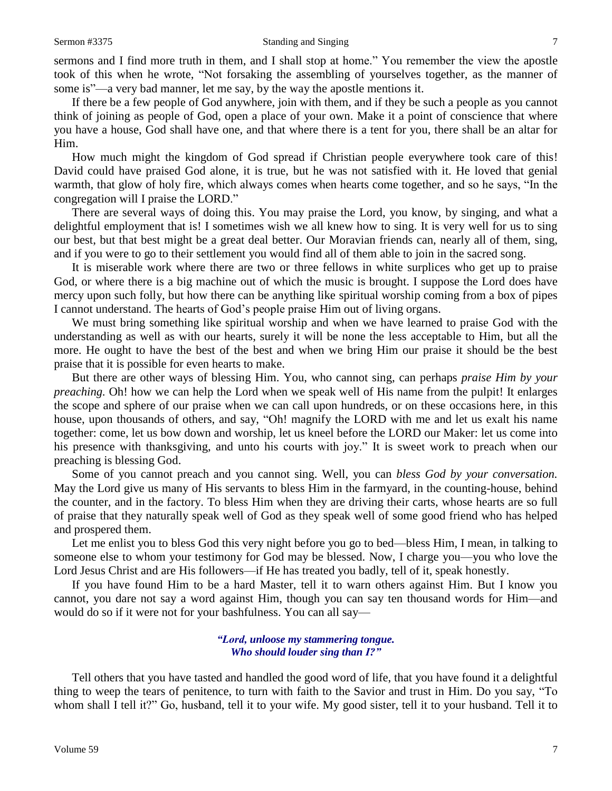sermons and I find more truth in them, and I shall stop at home." You remember the view the apostle took of this when he wrote, "Not forsaking the assembling of yourselves together, as the manner of some is"—a very bad manner, let me say, by the way the apostle mentions it.

If there be a few people of God anywhere, join with them, and if they be such a people as you cannot think of joining as people of God, open a place of your own. Make it a point of conscience that where you have a house, God shall have one, and that where there is a tent for you, there shall be an altar for Him.

How much might the kingdom of God spread if Christian people everywhere took care of this! David could have praised God alone, it is true, but he was not satisfied with it. He loved that genial warmth, that glow of holy fire, which always comes when hearts come together, and so he says, "In the congregation will I praise the LORD."

There are several ways of doing this. You may praise the Lord, you know, by singing, and what a delightful employment that is! I sometimes wish we all knew how to sing. It is very well for us to sing our best, but that best might be a great deal better. Our Moravian friends can, nearly all of them, sing, and if you were to go to their settlement you would find all of them able to join in the sacred song.

It is miserable work where there are two or three fellows in white surplices who get up to praise God, or where there is a big machine out of which the music is brought. I suppose the Lord does have mercy upon such folly, but how there can be anything like spiritual worship coming from a box of pipes I cannot understand. The hearts of God's people praise Him out of living organs.

We must bring something like spiritual worship and when we have learned to praise God with the understanding as well as with our hearts, surely it will be none the less acceptable to Him, but all the more. He ought to have the best of the best and when we bring Him our praise it should be the best praise that it is possible for even hearts to make.

But there are other ways of blessing Him. You, who cannot sing, can perhaps *praise Him by your preaching.* Oh! how we can help the Lord when we speak well of His name from the pulpit! It enlarges the scope and sphere of our praise when we can call upon hundreds, or on these occasions here, in this house, upon thousands of others, and say, "Oh! magnify the LORD with me and let us exalt his name together: come, let us bow down and worship, let us kneel before the LORD our Maker: let us come into his presence with thanksgiving, and unto his courts with joy." It is sweet work to preach when our preaching is blessing God.

Some of you cannot preach and you cannot sing. Well, you can *bless God by your conversation.*  May the Lord give us many of His servants to bless Him in the farmyard, in the counting-house, behind the counter, and in the factory. To bless Him when they are driving their carts, whose hearts are so full of praise that they naturally speak well of God as they speak well of some good friend who has helped and prospered them.

Let me enlist you to bless God this very night before you go to bed—bless Him, I mean, in talking to someone else to whom your testimony for God may be blessed. Now, I charge you—you who love the Lord Jesus Christ and are His followers—if He has treated you badly, tell of it, speak honestly.

If you have found Him to be a hard Master, tell it to warn others against Him. But I know you cannot, you dare not say a word against Him, though you can say ten thousand words for Him—and would do so if it were not for your bashfulness. You can all say—

#### *"Lord, unloose my stammering tongue. Who should louder sing than I?"*

Tell others that you have tasted and handled the good word of life, that you have found it a delightful thing to weep the tears of penitence, to turn with faith to the Savior and trust in Him. Do you say, "To whom shall I tell it?" Go, husband, tell it to your wife. My good sister, tell it to your husband. Tell it to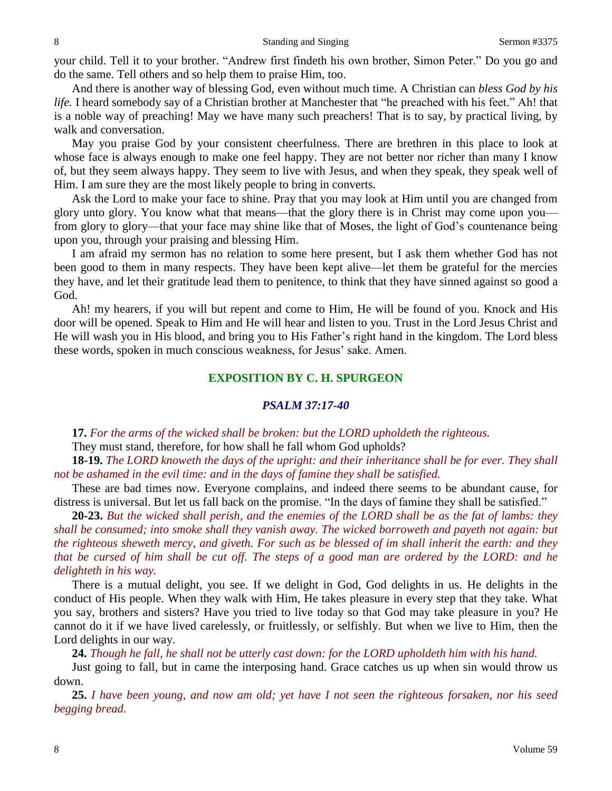your child. Tell it to your brother. "Andrew first findeth his own brother, Simon Peter." Do you go and do the same. Tell others and so help them to praise Him, too.

And there is another way of blessing God, even without much time. A Christian can *bless God by his life.* I heard somebody say of a Christian brother at Manchester that "he preached with his feet." Ah! that is a noble way of preaching! May we have many such preachers! That is to say, by practical living, by walk and conversation.

May you praise God by your consistent cheerfulness. There are brethren in this place to look at whose face is always enough to make one feel happy. They are not better nor richer than many I know of, but they seem always happy. They seem to live with Jesus, and when they speak, they speak well of Him. I am sure they are the most likely people to bring in converts.

Ask the Lord to make your face to shine. Pray that you may look at Him until you are changed from glory unto glory. You know what that means—that the glory there is in Christ may come upon you from glory to glory—that your face may shine like that of Moses, the light of God's countenance being upon you, through your praising and blessing Him.

I am afraid my sermon has no relation to some here present, but I ask them whether God has not been good to them in many respects. They have been kept alive—let them be grateful for the mercies they have, and let their gratitude lead them to penitence, to think that they have sinned against so good a God.

Ah! my hearers, if you will but repent and come to Him, He will be found of you. Knock and His door will be opened. Speak to Him and He will hear and listen to you. Trust in the Lord Jesus Christ and He will wash you in His blood, and bring you to His Father's right hand in the kingdom. The Lord bless these words, spoken in much conscious weakness, for Jesus' sake. Amen.

## **EXPOSITION BY C. H. SPURGEON**

#### *PSALM 37:17-40*

**17.** *For the arms of the wicked shall be broken: but the LORD upholdeth the righteous.*

They must stand, therefore, for how shall he fall whom God upholds?

**18-19.** *The LORD knoweth the days of the upright: and their inheritance shall be for ever. They shall not be ashamed in the evil time: and in the days of famine they shall be satisfied.*

These are bad times now. Everyone complains, and indeed there seems to be abundant cause, for distress is universal. But let us fall back on the promise. "In the days of famine they shall be satisfied."

**20-23.** *But the wicked shall perish, and the enemies of the LORD shall be as the fat of lambs: they shall be consumed; into smoke shall they vanish away. The wicked borroweth and payeth not again: but the righteous sheweth mercy, and giveth. For such as be blessed of im shall inherit the earth: and they that be cursed of him shall be cut off. The steps of a good man are ordered by the LORD: and he delighteth in his way.*

There is a mutual delight, you see. If we delight in God, God delights in us. He delights in the conduct of His people. When they walk with Him, He takes pleasure in every step that they take. What you say, brothers and sisters? Have you tried to live today so that God may take pleasure in you? He cannot do it if we have lived carelessly, or fruitlessly, or selfishly. But when we live to Him, then the Lord delights in our way.

**24.** *Though he fall, he shall not be utterly cast down: for the LORD upholdeth him with his hand.*

Just going to fall, but in came the interposing hand. Grace catches us up when sin would throw us down.

**25.** *I have been young, and now am old; yet have I not seen the righteous forsaken, nor his seed begging bread.*